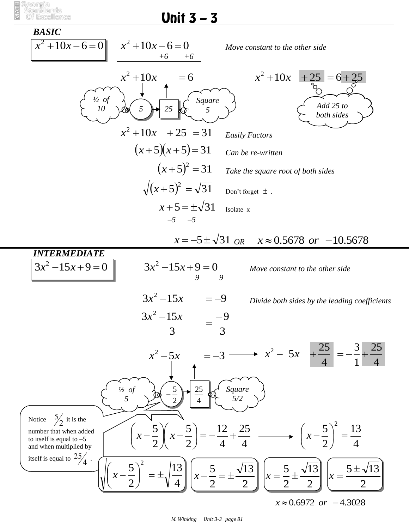

## Unit  $3 - 3$



*M. Winking Unit 3-3 page 81*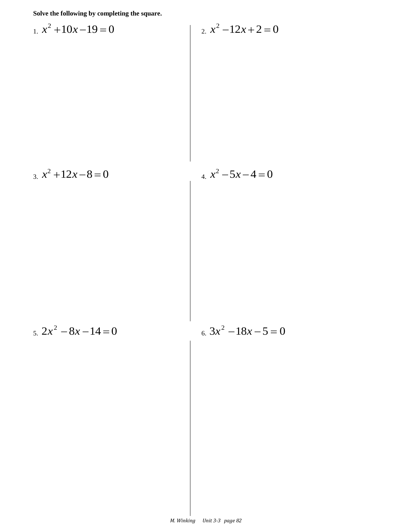**Solve the following by completing the square.**

1. 
$$
x^2 + 10x - 19 = 0
$$
  
\n2.  $x^2 - 12x + 2 = 0$   
\n3.  $x^2 + 12x - 8 = 0$   
\n4.  $x^2 - 5x - 4 = 0$   
\n5.  $2x^2 - 8x - 14 = 0$   
\n6.  $3x^2 - 18x - 5 = 0$